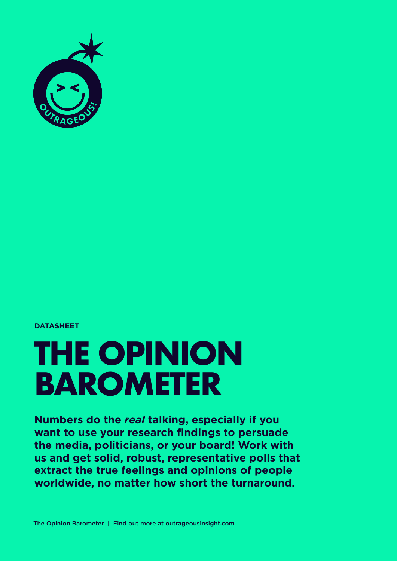

#### **DATASHEET**

# **THE OPINION BAROMETER**

**Numbers do the** *real* **talking, especially if you want to use your research findings to persuade the media, politicians, or your board! Work with us and get solid, robust, representative polls that extract the true feelings and opinions of people worldwide, no matter how short the turnaround.**